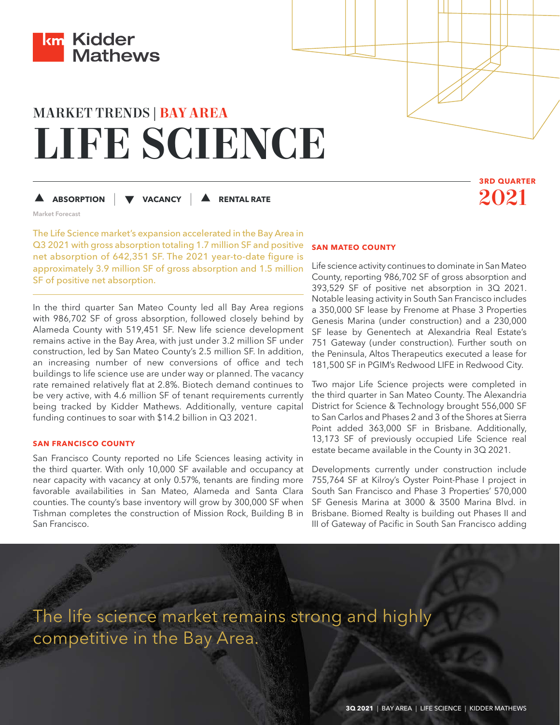

# MARKET TRENDS | **BAY AREA LIFE SCIENCE**

**ABSORPTION |**

 **RENTAL RATE** 2021

Market Forecast

The Life Science market's expansion accelerated in the Bay Area in Q3 2021 with gross absorption totaling 1.7 million SF and positive net absorption of 642,351 SF. The 2021 year-to-date figure is approximately 3.9 million SF of gross absorption and 1.5 million SF of positive net absorption.

 **VACANCY |**

In the third quarter San Mateo County led all Bay Area regions with 986,702 SF of gross absorption, followed closely behind by Alameda County with 519,451 SF. New life science development remains active in the Bay Area, with just under 3.2 million SF under construction, led by San Mateo County's 2.5 million SF. In addition, an increasing number of new conversions of office and tech buildings to life science use are under way or planned. The vacancy rate remained relatively flat at 2.8%. Biotech demand continues to be very active, with 4.6 million SF of tenant requirements currently being tracked by Kidder Mathews. Additionally, venture capital funding continues to soar with \$14.2 billion in Q3 2021.

## **SAN FRANCISCO COUNTY**

San Francisco County reported no Life Sciences leasing activity in the third quarter. With only 10,000 SF available and occupancy at near capacity with vacancy at only 0.57%, tenants are finding more favorable availabilities in San Mateo, Alameda and Santa Clara counties. The county's base inventory will grow by 300,000 SF when Tishman completes the construction of Mission Rock, Building B in San Francisco.

## **SAN MATEO COUNTY**

Life science activity continues to dominate in San Mateo County, reporting 986,702 SF of gross absorption and 393,529 SF of positive net absorption in 3Q 2021. Notable leasing activity in South San Francisco includes a 350,000 SF lease by Frenome at Phase 3 Properties Genesis Marina (under construction) and a 230,000 SF lease by Genentech at Alexandria Real Estate's 751 Gateway (under construction). Further south on the Peninsula, Altos Therapeutics executed a lease for 181,500 SF in PGIM's Redwood LIFE in Redwood City.

**3RD QUARTER**

Two major Life Science projects were completed in the third quarter in San Mateo County. The Alexandria District for Science & Technology brought 556,000 SF to San Carlos and Phases 2 and 3 of the Shores at Sierra Point added 363,000 SF in Brisbane. Additionally, 13,173 SF of previously occupied Life Science real estate became available in the County in 3Q 2021.

Developments currently under construction include 755,764 SF at Kilroy's Oyster Point-Phase I project in South San Francisco and Phase 3 Properties' 570,000 SF Genesis Marina at 3000 & 3500 Marina Blvd. in Brisbane. Biomed Realty is building out Phases II and III of Gateway of Pacific in South San Francisco adding

The life science market remains strong and highly competitive in the Bay Area.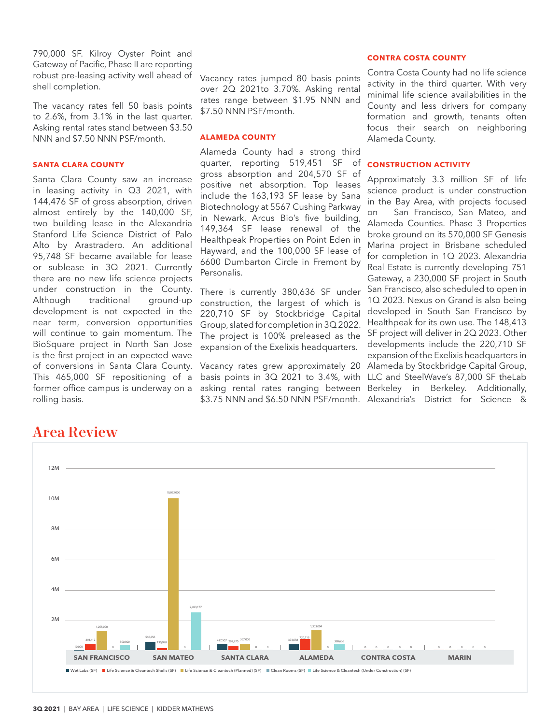790,000 SF. Kilroy Oyster Point and Gateway of Pacific, Phase II are reporting robust pre-leasing activity well ahead of shell completion.

The vacancy rates fell 50 basis points to 2.6%, from 3.1% in the last quarter. Asking rental rates stand between \$3.50 NNN and \$7.50 NNN PSF/month.

## **SANTA CLARA COUNTY**

Santa Clara County saw an increase in leasing activity in Q3 2021, with 144,476 SF of gross absorption, driven almost entirely by the 140,000 SF, two building lease in the Alexandria Stanford Life Science District of Palo Alto by Arastradero. An additional 95,748 SF became available for lease or sublease in 3Q 2021. Currently there are no new life science projects under construction in the County. Although traditional ground-up development is not expected in the near term, conversion opportunities will continue to gain momentum. The BioSquare project in North San Jose is the first project in an expected wave of conversions in Santa Clara County. This 465,000 SF repositioning of a former office campus is underway on a rolling basis.

Vacancy rates jumped 80 basis points over 2Q 2021to 3.70%. Asking rental rates range between \$1.95 NNN and \$7.50 NNN PSF/month.

## **ALAMEDA COUNTY**

Alameda County had a strong third quarter, reporting 519,451 SF of gross absorption and 204,570 SF of positive net absorption. Top leases include the 163,193 SF lease by Sana Biotechnology at 5567 Cushing Parkway in Newark, Arcus Bio's five building, 149,364 SF lease renewal of the Healthpeak Properties on Point Eden in Hayward, and the 100,000 SF lease of 6600 Dumbarton Circle in Fremont by Personalis.

There is currently 380,636 SF under construction, the largest of which is 220,710 SF by Stockbridge Capital Group, slated for completion in 3Q 2022. The project is 100% preleased as the expansion of the Exelixis headquarters.

Vacancy rates grew approximately 20 basis points in 3Q 2021 to 3.4%, with LLC and SteelWave's 87,000 SF theLab asking rental rates ranging between Berkeley in Berkeley. Additionally,

## **CONTRA COSTA COUNTY**

Contra Costa County had no life science activity in the third quarter. With very minimal life science availabilities in the County and less drivers for company formation and growth, tenants often focus their search on neighboring Alameda County.

## **CONSTRUCTION ACTIVITY**

\$3.75 NNN and \$6.50 NNN PSF/month. Alexandria's District for Science & Approximately 3.3 million SF of life science product is under construction in the Bay Area, with projects focused San Francisco, San Mateo, and Alameda Counties. Phase 3 Properties broke ground on its 570,000 SF Genesis Marina project in Brisbane scheduled for completion in 1Q 2023. Alexandria Real Estate is currently developing 751 Gateway, a 230,000 SF project in South San Francisco, also scheduled to open in 1Q 2023. Nexus on Grand is also being developed in South San Francisco by Healthpeak for its own use. The 148,413 SF project will deliver in 2Q 2023. Other developments include the 220,710 SF expansion of the Exelixis headquarters in Alameda by Stockbridge Capital Group,



## Area Review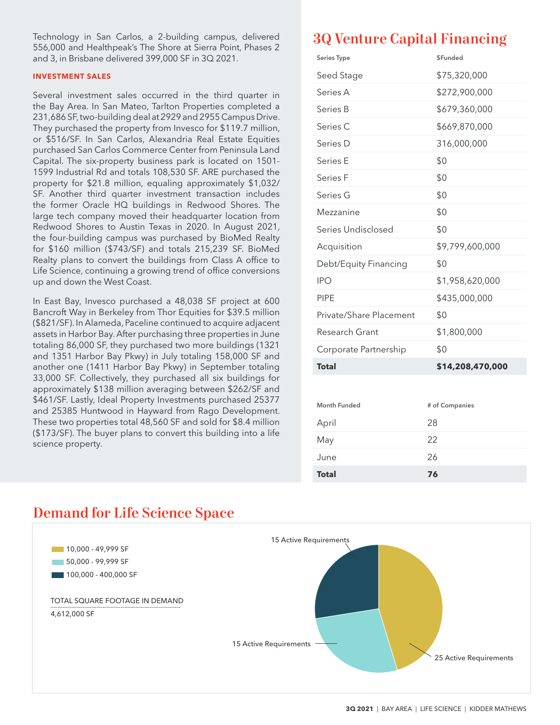Technology in San Carlos, a 2-building campus, delivered 556,000 and Healthpeak's The Shore at Sierra Point, Phases 2 and 3, in Brisbane delivered 399,000 SF in 3Q 2021.

## **INVESTMENT SALES**

Several investment sales occurred in the third quarter in the Bay Area. In San Mateo, Tarlton Properties completed a 231,686 SF, two-building deal at 2929 and 2955 Campus Drive. They purchased the property from Invesco for \$119.7 million, or \$516/SF. In San Carlos, Alexandria Real Estate Equities purchased San Carlos Commerce Center from Peninsula Land Capital. The six-property business park is located on 1501- 1599 Industrial Rd and totals 108,530 SF. ARE purchased the property for \$21.8 million, equaling approximately \$1,032/ SF. Another third quarter investment transaction includes the former Oracle HQ buildings in Redwood Shores. The large tech company moved their headquarter location from Redwood Shores to Austin Texas in 2020. In August 2021, the four-building campus was purchased by BioMed Realty for \$160 million (\$743/SF) and totals 215,239 SF. BioMed Realty plans to convert the buildings from Class A office to Life Science, continuing a growing trend of office conversions up and down the West Coast.

In East Bay, Invesco purchased a 48,038 SF project at 600 Bancroft Way in Berkeley from Thor Equities for \$39.5 million (\$821/SF). In Alameda, Paceline continued to acquire adjacent assets in Harbor Bay. After purchasing three properties in June totaling 86,000 SF, they purchased two more buildings (1321 and 1351 Harbor Bay Pkwy) in July totaling 158,000 SF and another one (1411 Harbor Bay Pkwy) in September totaling 33,000 SF. Collectively, they purchased all six buildings for approximately \$138 million averaging between \$262/SF and \$461/SF. Lastly, Ideal Property Investments purchased 25377 and 25385 Huntwood in Hayward from Rago Development. These two properties total 48,560 SF and sold for \$8.4 million (\$173/SF). The buyer plans to convert this building into a life science property.

# 3Q Venture Capital Financing

| Series Type             | <b>SFunded</b>   |  |
|-------------------------|------------------|--|
| Seed Stage              | \$75,320,000     |  |
| Series A                | \$272,900,000    |  |
| Series B                | \$679,360,000    |  |
| Series C                | \$669,870,000    |  |
| Series D                | 316,000,000      |  |
| Series E                | \$0              |  |
| Series F                | \$0              |  |
| Series G                | \$0              |  |
| Mezzanine               | \$0              |  |
| Series Undisclosed      | \$0              |  |
| Acquisition             | \$9,799,600,000  |  |
| Debt/Equity Financing   | \$0              |  |
| <b>IPO</b>              | \$1,958,620,000  |  |
| <b>PIPE</b>             | \$435,000,000    |  |
| Private/Share Placement | \$0              |  |
| Research Grant          | \$1,800,000      |  |
| Corporate Partnership   | \$0              |  |
| <b>Total</b>            | \$14,208,470,000 |  |
|                         |                  |  |
| <b>Month Funded</b>     | # of Companies   |  |
| April                   | 28               |  |
| May                     | 22               |  |
| June                    | 26               |  |
| Total                   | 76               |  |



## Demand for Life Science Space